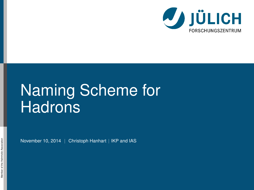

# Naming Scheme for **Hadrons**

November 10, 2014 | Christoph Hanhart | IKP and IAS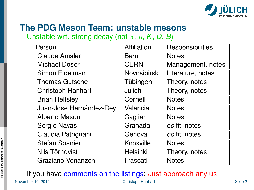

## **The PDG Meson Team: unstable mesons**

Unstable wrt. strong decay (not  $\pi$ ,  $\eta$ ,  $K$ ,  $D$ ,  $B$ )

| Person                  | Affiliation        | Responsibilities  |
|-------------------------|--------------------|-------------------|
| Claude Amsler           | Bern               | <b>Notes</b>      |
| Michael Doser           | <b>CERN</b>        | Management, notes |
| Simon Eidelman          | <b>Novosibirsk</b> | Literature, notes |
| Thomas Gutsche          | Tübingen           | Theory, notes     |
| Christoph Hanhart       | Jülich             | Theory, notes     |
| <b>Brian Heltsley</b>   | Cornell            | <b>Notes</b>      |
| Juan-Jose Hernández-Rey | Valencia           | <b>Notes</b>      |
| Alberto Masoni          | Cagliari           | <b>Notes</b>      |
| Sergio Navas            | Granada            | cc fit, notes     |
| Claudia Patrignani      | Genova             | cc fit, notes     |
| Stefan Spanier          | Knoxville          | <b>Notes</b>      |
| Nils Törnqvist          | Helsinki           | Theory, notes     |
| Graziano Venanzoni      | Frascati           | <b>Notes</b>      |

If you have comments on the listings: Just approach any us November 10, 2014 Christoph Hanhart Slide 2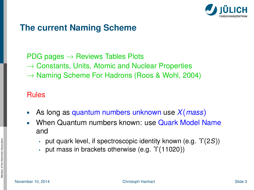

#### **The current Naming Scheme**

- $PDG$  pages  $\rightarrow$  Reviews Tables Plots
- $\rightarrow$  Constants, Units, Atomic and Nuclear Properties
- $\rightarrow$  Naming Scheme For Hadrons (Roos & Wohl, 2004)

#### Rules

- As long as quantum numbers unknown use *X*(*mass*)
- When Quantum numbers known: use Quark Model Name n. and
	- put quark level, if spectroscopic identity known (e.g. Υ(2*S*))
	- put mass in brackets otherwise (e.g.  $\Upsilon(11020)$ )